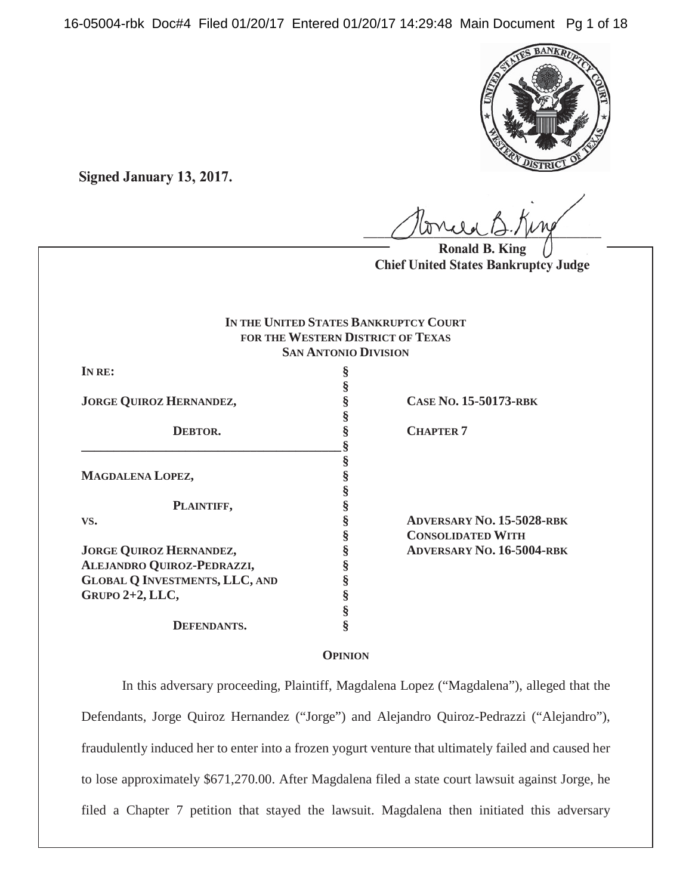16-05004-rbk Doc#4 Filed 01/20/17 Entered 01/20/17 14:29:48 Main Document Pg 1 of 18



**Signed January 13, 2017.**

 $U$ *Write*  $U$  *...*  $V$ *ry* 

**Ronald B. King Chief United States Bankruptcy Judge**

#### **IN THE UNITED STATES BANKRUPTCY COURT FOR THE WESTERN DISTRICT OF TEXAS SAN ANTONIO DIVISION**

**§**

**§**

**IN RE: §**

**JORGE QUIROZ HERNANDEZ, § CASE NO. 15-50173-RBK**

**MAGDALENA LOPEZ, §**

**PLAINTIFF, §**

**JORGE QUIROZ HERNANDEZ, § ADVERSARY NO. 16-5004-RBK ALEJANDRO QUIROZ-PEDRAZZI, § GLOBAL Q INVESTMENTS, LLC, AND § GRUPO 2+2, LLC, §**

# **\_\_\_\_\_\_\_\_\_\_\_\_\_\_\_\_\_\_\_\_\_\_\_\_\_\_\_\_\_\_\_\_\_\_\_\_\_\_\_\_ § § § §**

**DEFENDANTS. §**

**S CHAPTER 7** 

**VS. § ADVERSARY NO. 15-5028-RBK § CONSOLIDATED WITH**

# **OPINION**

In this adversary proceeding, Plaintiff, Magdalena Lopez ("Magdalena"), alleged that the Defendants, Jorge Quiroz Hernandez ("Jorge") and Alejandro Quiroz-Pedrazzi ("Alejandro"), fraudulently induced her to enter into a frozen yogurt venture that ultimately failed and caused her to lose approximately \$671,270.00. After Magdalena filed a state court lawsuit against Jorge, he filed a Chapter 7 petition that stayed the lawsuit. Magdalena then initiated this adversary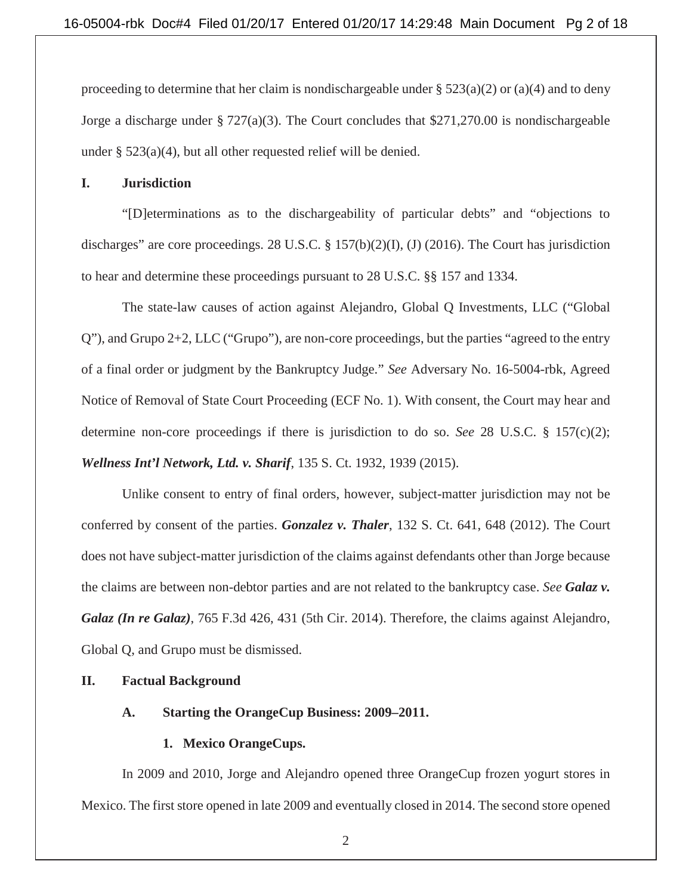proceeding to determine that her claim is nondischargeable under  $\S 523(a)(2)$  or (a)(4) and to deny Jorge a discharge under § 727(a)(3). The Court concludes that \$271,270.00 is nondischargeable under § 523(a)(4), but all other requested relief will be denied.

## **I. Jurisdiction**

"[D]eterminations as to the dischargeability of particular debts" and "objections to discharges" are core proceedings. 28 U.S.C. § 157(b)(2)(I), (J) (2016). The Court has jurisdiction to hear and determine these proceedings pursuant to 28 U.S.C. §§ 157 and 1334.

The state-law causes of action against Alejandro, Global Q Investments, LLC ("Global Q"), and Grupo 2+2, LLC ("Grupo"), are non-core proceedings, but the parties "agreed to the entry of a final order or judgment by the Bankruptcy Judge." *See* Adversary No. 16-5004-rbk, Agreed Notice of Removal of State Court Proceeding (ECF No. 1). With consent, the Court may hear and determine non-core proceedings if there is jurisdiction to do so. *See* 28 U.S.C. § 157(c)(2); *Wellness Int'l Network, Ltd. v. Sharif*, 135 S. Ct. 1932, 1939 (2015).

Unlike consent to entry of final orders, however, subject-matter jurisdiction may not be conferred by consent of the parties. *Gonzalez v. Thaler*, 132 S. Ct. 641, 648 (2012). The Court does not have subject-matter jurisdiction of the claims against defendants other than Jorge because the claims are between non-debtor parties and are not related to the bankruptcy case. *See Galaz v. Galaz (In re Galaz)*, 765 F.3d 426, 431 (5th Cir. 2014). Therefore, the claims against Alejandro, Global Q, and Grupo must be dismissed.

# **II. Factual Background**

# **A. Starting the OrangeCup Business: 2009–2011.**

# **1. Mexico OrangeCups.**

In 2009 and 2010, Jorge and Alejandro opened three OrangeCup frozen yogurt stores in Mexico. The first store opened in late 2009 and eventually closed in 2014. The second store opened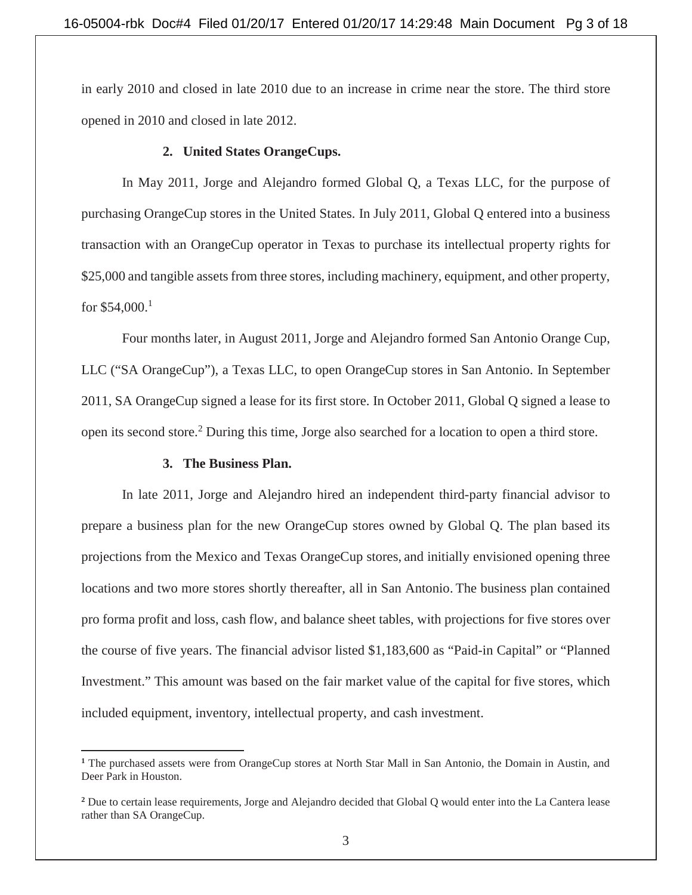in early 2010 and closed in late 2010 due to an increase in crime near the store. The third store opened in 2010 and closed in late 2012.

#### **2. United States OrangeCups.**

In May 2011, Jorge and Alejandro formed Global Q, a Texas LLC, for the purpose of purchasing OrangeCup stores in the United States. In July 2011, Global Q entered into a business transaction with an OrangeCup operator in Texas to purchase its intellectual property rights for \$25,000 and tangible assets from three stores, including machinery, equipment, and other property, for  $$54,000.<sup>1</sup>$ 

Four months later, in August 2011, Jorge and Alejandro formed San Antonio Orange Cup, LLC ("SA OrangeCup"), a Texas LLC, to open OrangeCup stores in San Antonio. In September 2011, SA OrangeCup signed a lease for its first store. In October 2011, Global Q signed a lease to open its second store.<sup>2</sup> During this time, Jorge also searched for a location to open a third store.

#### **3. The Business Plan.**

 $\overline{a}$ 

In late 2011, Jorge and Alejandro hired an independent third-party financial advisor to prepare a business plan for the new OrangeCup stores owned by Global Q. The plan based its projections from the Mexico and Texas OrangeCup stores, and initially envisioned opening three locations and two more stores shortly thereafter, all in San Antonio. The business plan contained pro forma profit and loss, cash flow, and balance sheet tables, with projections for five stores over the course of five years. The financial advisor listed \$1,183,600 as "Paid-in Capital" or "Planned Investment." This amount was based on the fair market value of the capital for five stores, which included equipment, inventory, intellectual property, and cash investment.

**<sup>1</sup>** The purchased assets were from OrangeCup stores at North Star Mall in San Antonio, the Domain in Austin, and Deer Park in Houston.

<sup>&</sup>lt;sup>2</sup> Due to certain lease requirements, Jorge and Alejandro decided that Global Q would enter into the La Cantera lease rather than SA OrangeCup.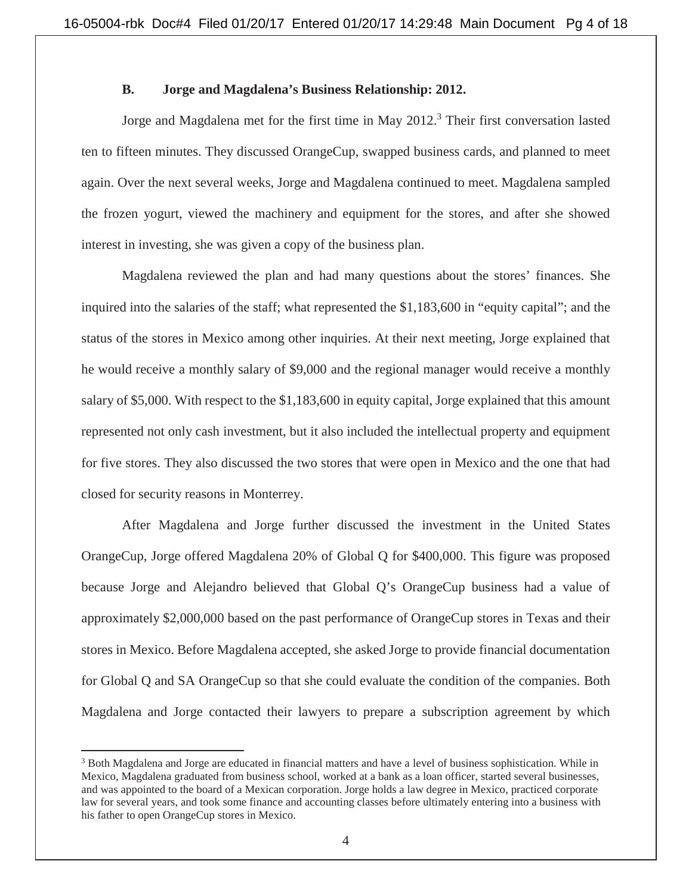#### **B. Jorge and Magdalena's Business Relationship: 2012.**

Jorge and Magdalena met for the first time in May 2012.<sup>3</sup> Their first conversation lasted ten to fifteen minutes. They discussed OrangeCup, swapped business cards, and planned to meet again. Over the next several weeks, Jorge and Magdalena continued to meet. Magdalena sampled the frozen yogurt, viewed the machinery and equipment for the stores, and after she showed interest in investing, she was given a copy of the business plan.

Magdalena reviewed the plan and had many questions about the stores' finances. She inquired into the salaries of the staff; what represented the \$1,183,600 in "equity capital"; and the status of the stores in Mexico among other inquiries. At their next meeting, Jorge explained that he would receive a monthly salary of \$9,000 and the regional manager would receive a monthly salary of \$5,000. With respect to the \$1,183,600 in equity capital, Jorge explained that this amount represented not only cash investment, but it also included the intellectual property and equipment for five stores. They also discussed the two stores that were open in Mexico and the one that had closed for security reasons in Monterrey.

After Magdalena and Jorge further discussed the investment in the United States OrangeCup, Jorge offered Magdalena 20% of Global Q for \$400,000. This figure was proposed because Jorge and Alejandro believed that Global Q's OrangeCup business had a value of approximately \$2,000,000 based on the past performance of OrangeCup stores in Texas and their stores in Mexico. Before Magdalena accepted, she asked Jorge to provide financial documentation for Global Q and SA OrangeCup so that she could evaluate the condition of the companies. Both Magdalena and Jorge contacted their lawyers to prepare a subscription agreement by which

<sup>&</sup>lt;sup>3</sup> Both Magdalena and Jorge are educated in financial matters and have a level of business sophistication. While in Mexico, Magdalena graduated from business school, worked at a bank as a loan officer, started several businesses, and was appointed to the board of a Mexican corporation. Jorge holds a law degree in Mexico, practiced corporate law for several years, and took some finance and accounting classes before ultimately entering into a business with his father to open OrangeCup stores in Mexico.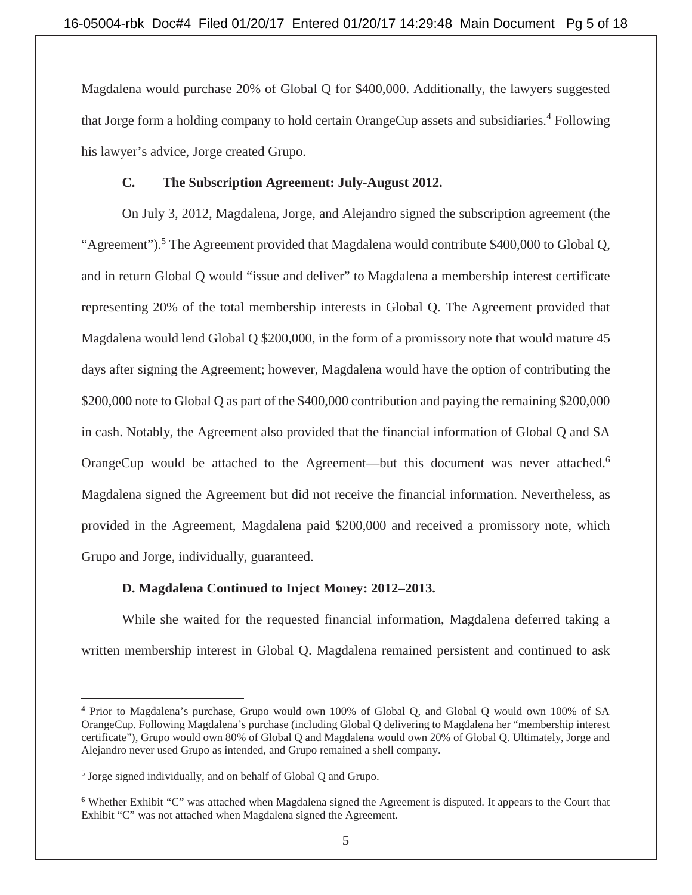Magdalena would purchase 20% of Global Q for \$400,000. Additionally, the lawyers suggested that Jorge form a holding company to hold certain OrangeCup assets and subsidiaries.<sup>4</sup> Following his lawyer's advice, Jorge created Grupo.

# **C. The Subscription Agreement: July-August 2012.**

 On July 3, 2012, Magdalena, Jorge, and Alejandro signed the subscription agreement (the "Agreement").<sup>5</sup> The Agreement provided that Magdalena would contribute \$400,000 to Global Q, and in return Global Q would "issue and deliver" to Magdalena a membership interest certificate representing 20% of the total membership interests in Global Q. The Agreement provided that Magdalena would lend Global Q \$200,000, in the form of a promissory note that would mature 45 days after signing the Agreement; however, Magdalena would have the option of contributing the \$200,000 note to Global Q as part of the \$400,000 contribution and paying the remaining \$200,000 in cash. Notably, the Agreement also provided that the financial information of Global Q and SA OrangeCup would be attached to the Agreement—but this document was never attached.<sup>6</sup> Magdalena signed the Agreement but did not receive the financial information. Nevertheless, as provided in the Agreement, Magdalena paid \$200,000 and received a promissory note, which Grupo and Jorge, individually, guaranteed.

# **D. Magdalena Continued to Inject Money: 2012–2013.**

While she waited for the requested financial information, Magdalena deferred taking a written membership interest in Global Q. Magdalena remained persistent and continued to ask

 $\overline{a}$ **<sup>4</sup>** Prior to Magdalena's purchase, Grupo would own 100% of Global Q, and Global Q would own 100% of SA OrangeCup. Following Magdalena's purchase (including Global Q delivering to Magdalena her "membership interest certificate"), Grupo would own 80% of Global Q and Magdalena would own 20% of Global Q. Ultimately, Jorge and Alejandro never used Grupo as intended, and Grupo remained a shell company.

<sup>&</sup>lt;sup>5</sup> Jorge signed individually, and on behalf of Global Q and Grupo.

**<sup>6</sup>** Whether Exhibit "C" was attached when Magdalena signed the Agreement is disputed. It appears to the Court that Exhibit "C" was not attached when Magdalena signed the Agreement.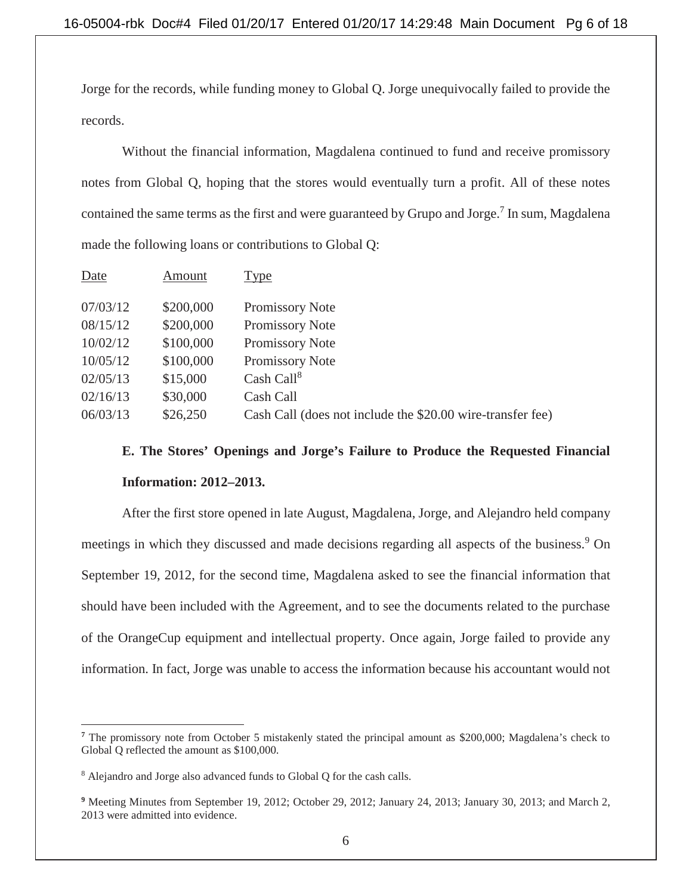Jorge for the records, while funding money to Global Q. Jorge unequivocally failed to provide the records.

Without the financial information, Magdalena continued to fund and receive promissory notes from Global Q, hoping that the stores would eventually turn a profit. All of these notes contained the same terms as the first and were guaranteed by Grupo and Jorge.<sup>7</sup> In sum, Magdalena made the following loans or contributions to Global Q:

| Date     | Amount    | <b>Type</b>                                                |
|----------|-----------|------------------------------------------------------------|
|          |           |                                                            |
| 07/03/12 | \$200,000 | Promissory Note                                            |
| 08/15/12 | \$200,000 | Promissory Note                                            |
| 10/02/12 | \$100,000 | Promissory Note                                            |
| 10/05/12 | \$100,000 | Promissory Note                                            |
| 02/05/13 | \$15,000  | Cash Call <sup>8</sup>                                     |
| 02/16/13 | \$30,000  | Cash Call                                                  |
| 06/03/13 | \$26,250  | Cash Call (does not include the \$20.00 wire-transfer fee) |

# **E. The Stores' Openings and Jorge's Failure to Produce the Requested Financial Information: 2012–2013.**

After the first store opened in late August, Magdalena, Jorge, and Alejandro held company meetings in which they discussed and made decisions regarding all aspects of the business.<sup>9</sup> On September 19, 2012, for the second time, Magdalena asked to see the financial information that should have been included with the Agreement, and to see the documents related to the purchase of the OrangeCup equipment and intellectual property. Once again, Jorge failed to provide any information. In fact, Jorge was unable to access the information because his accountant would not

<sup>&</sup>lt;sup>7</sup> The promissory note from October 5 mistakenly stated the principal amount as \$200,000; Magdalena's check to Global Q reflected the amount as \$100,000.

<sup>&</sup>lt;sup>8</sup> Alejandro and Jorge also advanced funds to Global Q for the cash calls.

<sup>&</sup>lt;sup>9</sup> Meeting Minutes from September 19, 2012; October 29, 2012; January 24, 2013; January 30, 2013; and March 2, 2013 were admitted into evidence.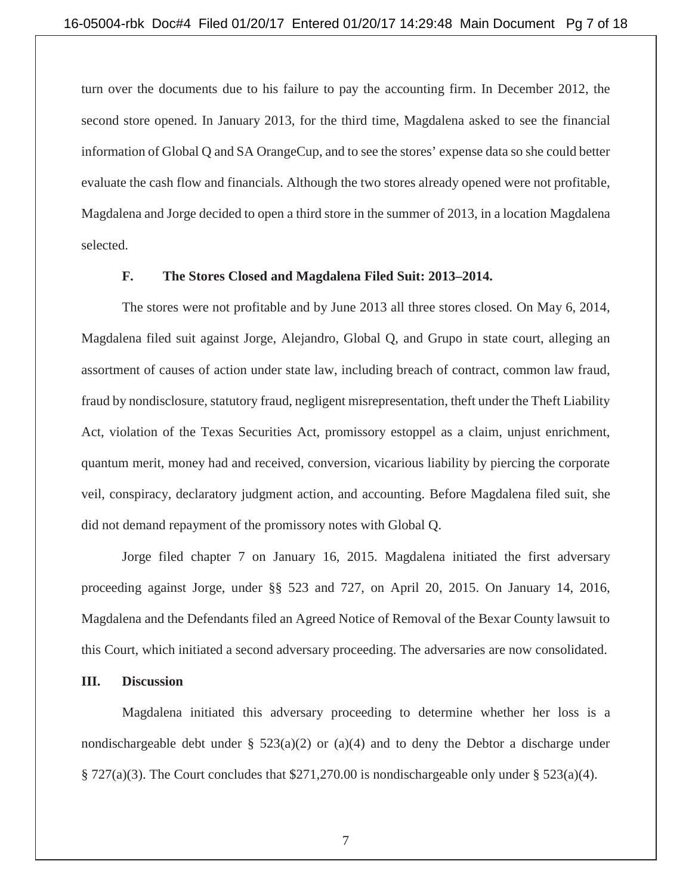turn over the documents due to his failure to pay the accounting firm. In December 2012, the second store opened. In January 2013, for the third time, Magdalena asked to see the financial information of Global Q and SA OrangeCup, and to see the stores' expense data so she could better evaluate the cash flow and financials. Although the two stores already opened were not profitable, Magdalena and Jorge decided to open a third store in the summer of 2013, in a location Magdalena selected.

#### **F. The Stores Closed and Magdalena Filed Suit: 2013–2014.**

 The stores were not profitable and by June 2013 all three stores closed. On May 6, 2014, Magdalena filed suit against Jorge, Alejandro, Global Q, and Grupo in state court, alleging an assortment of causes of action under state law, including breach of contract, common law fraud, fraud by nondisclosure, statutory fraud, negligent misrepresentation, theft under the Theft Liability Act, violation of the Texas Securities Act, promissory estoppel as a claim, unjust enrichment, quantum merit, money had and received, conversion, vicarious liability by piercing the corporate veil, conspiracy, declaratory judgment action, and accounting. Before Magdalena filed suit, she did not demand repayment of the promissory notes with Global Q.

Jorge filed chapter 7 on January 16, 2015. Magdalena initiated the first adversary proceeding against Jorge, under §§ 523 and 727, on April 20, 2015. On January 14, 2016, Magdalena and the Defendants filed an Agreed Notice of Removal of the Bexar County lawsuit to this Court, which initiated a second adversary proceeding. The adversaries are now consolidated.

# **III. Discussion**

Magdalena initiated this adversary proceeding to determine whether her loss is a nondischargeable debt under §  $523(a)(2)$  or  $(a)(4)$  and to deny the Debtor a discharge under § 727(a)(3). The Court concludes that \$271,270.00 is nondischargeable only under § 523(a)(4).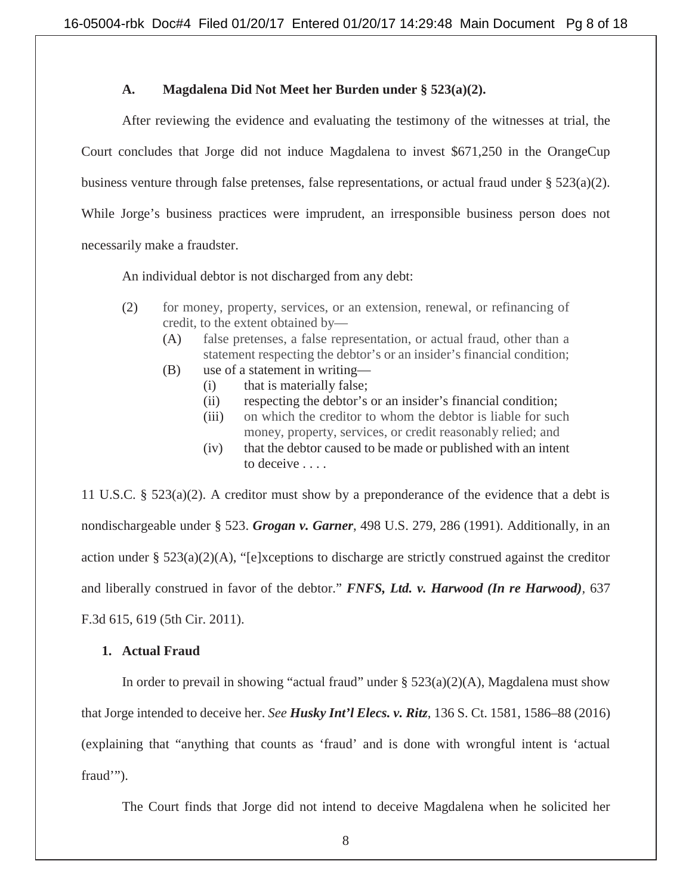### **A. Magdalena Did Not Meet her Burden under § 523(a)(2).**

After reviewing the evidence and evaluating the testimony of the witnesses at trial, the Court concludes that Jorge did not induce Magdalena to invest \$671,250 in the OrangeCup business venture through false pretenses, false representations, or actual fraud under § 523(a)(2). While Jorge's business practices were imprudent, an irresponsible business person does not necessarily make a fraudster.

An individual debtor is not discharged from any debt:

- (2) for money, property, services, or an extension, renewal, or refinancing of credit, to the extent obtained by—
	- (A) false pretenses, a false representation, or actual fraud, other than a statement respecting the debtor's or an insider's financial condition;
	- (B) use of a statement in writing—
		- (i) that is materially false;
		- (ii) respecting the debtor's or an insider's financial condition;
		- (iii) on which the creditor to whom the debtor is liable for such money, property, services, or credit reasonably relied; and
		- (iv) that the debtor caused to be made or published with an intent to deceive . . . .

11 U.S.C. § 523(a)(2). A creditor must show by a preponderance of the evidence that a debt is nondischargeable under § 523. *Grogan v. Garner*, 498 U.S. 279, 286 (1991). Additionally, in an action under § 523(a)(2)(A), "[e]xceptions to discharge are strictly construed against the creditor and liberally construed in favor of the debtor." *FNFS, Ltd. v. Harwood (In re Harwood),* 637 F.3d 615, 619 (5th Cir. 2011).

#### **1. Actual Fraud**

In order to prevail in showing "actual fraud" under  $\S$  523(a)(2)(A), Magdalena must show that Jorge intended to deceive her. *See Husky Int'l Elecs. v. Ritz*, 136 S. Ct. 1581, 1586–88 (2016) (explaining that "anything that counts as 'fraud' and is done with wrongful intent is 'actual fraud'").

The Court finds that Jorge did not intend to deceive Magdalena when he solicited her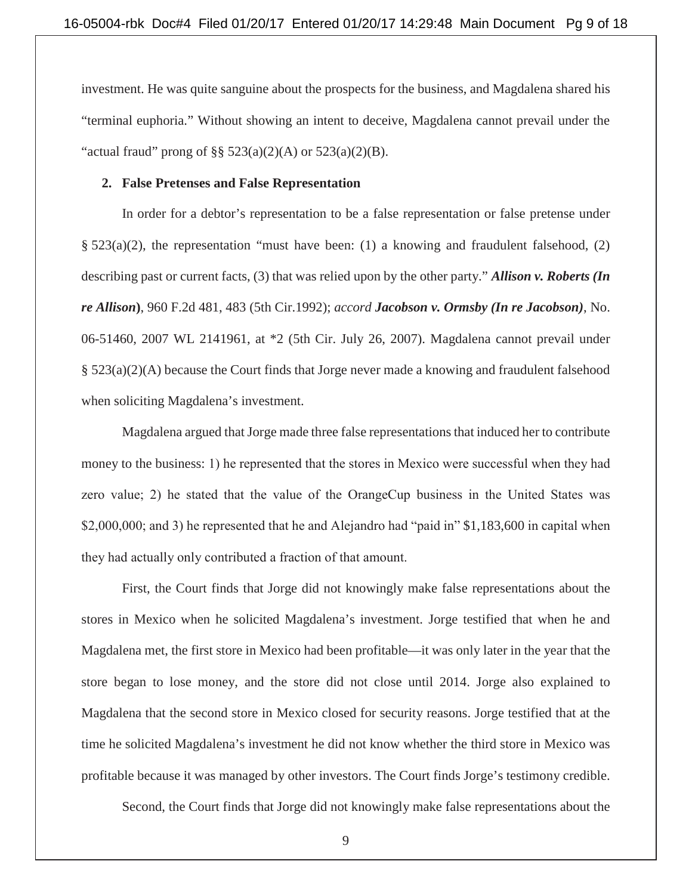investment. He was quite sanguine about the prospects for the business, and Magdalena shared his "terminal euphoria." Without showing an intent to deceive, Magdalena cannot prevail under the "actual fraud" prong of §§  $523(a)(2)(A)$  or  $523(a)(2)(B)$ .

#### **2. False Pretenses and False Representation**

In order for a debtor's representation to be a false representation or false pretense under §  $523(a)(2)$ , the representation "must have been: (1) a knowing and fraudulent falsehood, (2) describing past or current facts, (3) that was relied upon by the other party." *Allison v. Roberts (In re Allison***)**, 960 F.2d 481, 483 (5th Cir.1992); *accord Jacobson v. Ormsby (In re Jacobson)*, No. 06-51460, 2007 WL 2141961, at \*2 (5th Cir. July 26, 2007). Magdalena cannot prevail under § 523(a)(2)(A) because the Court finds that Jorge never made a knowing and fraudulent falsehood when soliciting Magdalena's investment.

Magdalena argued that Jorge made three false representations that induced her to contribute money to the business: 1) he represented that the stores in Mexico were successful when they had zero value; 2) he stated that the value of the OrangeCup business in the United States was \$2,000,000; and 3) he represented that he and Alejandro had "paid in" \$1,183,600 in capital when they had actually only contributed a fraction of that amount.

First, the Court finds that Jorge did not knowingly make false representations about the stores in Mexico when he solicited Magdalena's investment. Jorge testified that when he and Magdalena met, the first store in Mexico had been profitable—it was only later in the year that the store began to lose money, and the store did not close until 2014. Jorge also explained to Magdalena that the second store in Mexico closed for security reasons. Jorge testified that at the time he solicited Magdalena's investment he did not know whether the third store in Mexico was profitable because it was managed by other investors. The Court finds Jorge's testimony credible.

Second, the Court finds that Jorge did not knowingly make false representations about the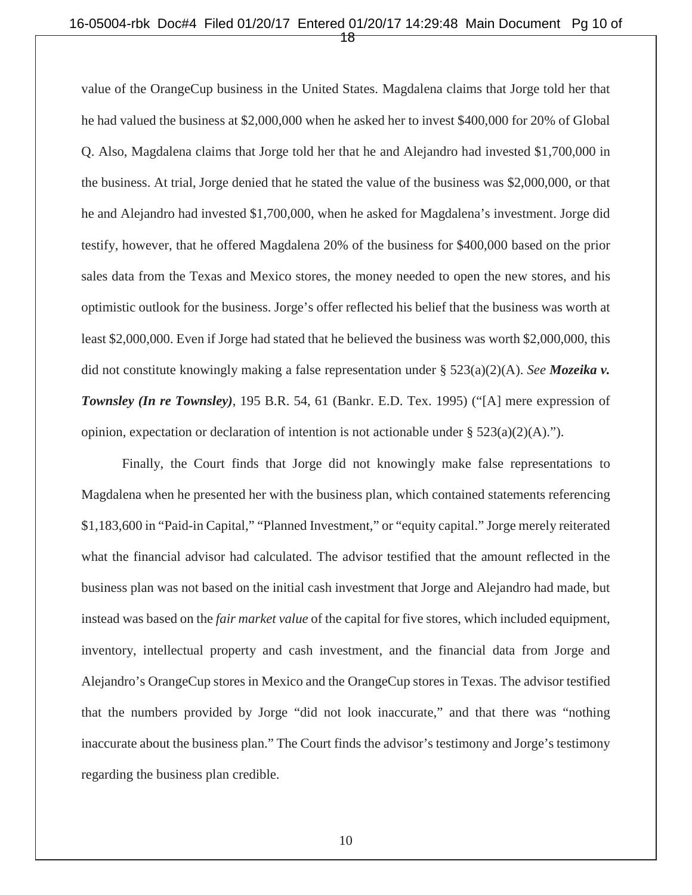#### 16-05004-rbk Doc#4 Filed 01/20/17 Entered 01/20/17 14:29:48 Main Document Pg 10 of 18

value of the OrangeCup business in the United States. Magdalena claims that Jorge told her that he had valued the business at \$2,000,000 when he asked her to invest \$400,000 for 20% of Global Q. Also, Magdalena claims that Jorge told her that he and Alejandro had invested \$1,700,000 in the business. At trial, Jorge denied that he stated the value of the business was \$2,000,000, or that he and Alejandro had invested \$1,700,000, when he asked for Magdalena's investment. Jorge did testify, however, that he offered Magdalena 20% of the business for \$400,000 based on the prior sales data from the Texas and Mexico stores, the money needed to open the new stores, and his optimistic outlook for the business. Jorge's offer reflected his belief that the business was worth at least \$2,000,000. Even if Jorge had stated that he believed the business was worth \$2,000,000, this did not constitute knowingly making a false representation under § 523(a)(2)(A). *See Mozeika v. Townsley (In re Townsley)*, 195 B.R. 54, 61 (Bankr. E.D. Tex. 1995) ("[A] mere expression of opinion, expectation or declaration of intention is not actionable under  $\S 523(a)(2)(A)$ .").

Finally, the Court finds that Jorge did not knowingly make false representations to Magdalena when he presented her with the business plan, which contained statements referencing \$1,183,600 in "Paid-in Capital," "Planned Investment," or "equity capital." Jorge merely reiterated what the financial advisor had calculated. The advisor testified that the amount reflected in the business plan was not based on the initial cash investment that Jorge and Alejandro had made, but instead was based on the *fair market value* of the capital for five stores, which included equipment, inventory, intellectual property and cash investment, and the financial data from Jorge and Alejandro's OrangeCup stores in Mexico and the OrangeCup stores in Texas. The advisor testified that the numbers provided by Jorge "did not look inaccurate," and that there was "nothing inaccurate about the business plan." The Court finds the advisor's testimony and Jorge's testimony regarding the business plan credible.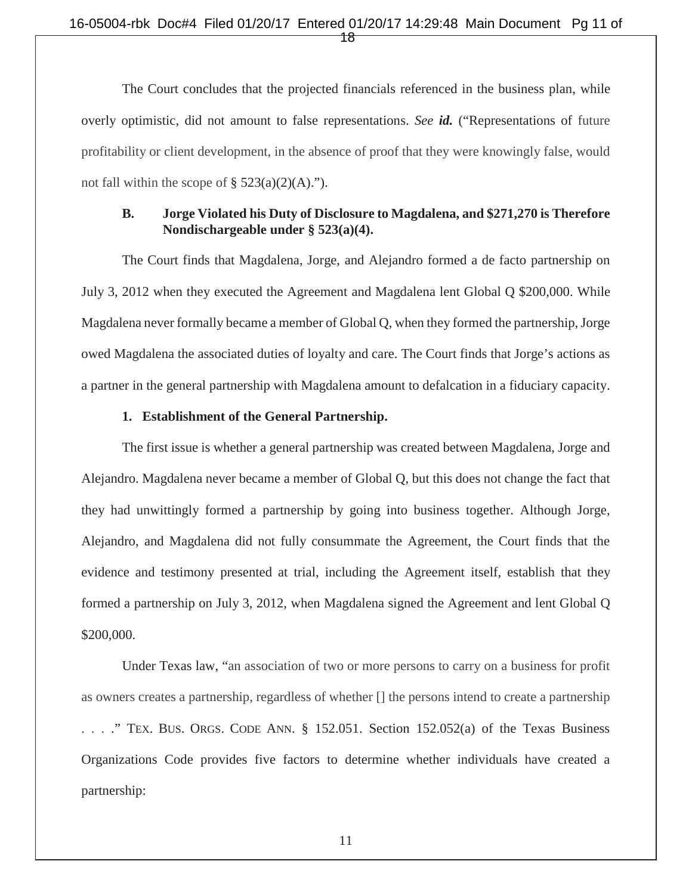#### 16-05004-rbk Doc#4 Filed 01/20/17 Entered 01/20/17 14:29:48 Main Document Pg 11 of 18

The Court concludes that the projected financials referenced in the business plan, while overly optimistic, did not amount to false representations. *See id.* ("Representations of future profitability or client development, in the absence of proof that they were knowingly false, would not fall within the scope of  $\S$  523(a)(2)(A).").

#### **B. Jorge Violated his Duty of Disclosure to Magdalena, and \$271,270 is Therefore Nondischargeable under § 523(a)(4).**

The Court finds that Magdalena, Jorge, and Alejandro formed a de facto partnership on July 3, 2012 when they executed the Agreement and Magdalena lent Global Q \$200,000. While Magdalena never formally became a member of Global Q, when they formed the partnership, Jorge owed Magdalena the associated duties of loyalty and care. The Court finds that Jorge's actions as a partner in the general partnership with Magdalena amount to defalcation in a fiduciary capacity.

# **1. Establishment of the General Partnership.**

The first issue is whether a general partnership was created between Magdalena, Jorge and Alejandro. Magdalena never became a member of Global Q, but this does not change the fact that they had unwittingly formed a partnership by going into business together. Although Jorge, Alejandro, and Magdalena did not fully consummate the Agreement, the Court finds that the evidence and testimony presented at trial, including the Agreement itself, establish that they formed a partnership on July 3, 2012, when Magdalena signed the Agreement and lent Global Q \$200,000.

 Under Texas law, "an association of two or more persons to carry on a business for profit as owners creates a partnership, regardless of whether [] the persons intend to create a partnership . . . ." TEX. BUS. ORGS. CODE ANN. § 152.051. Section 152.052(a) of the Texas Business Organizations Code provides five factors to determine whether individuals have created a partnership: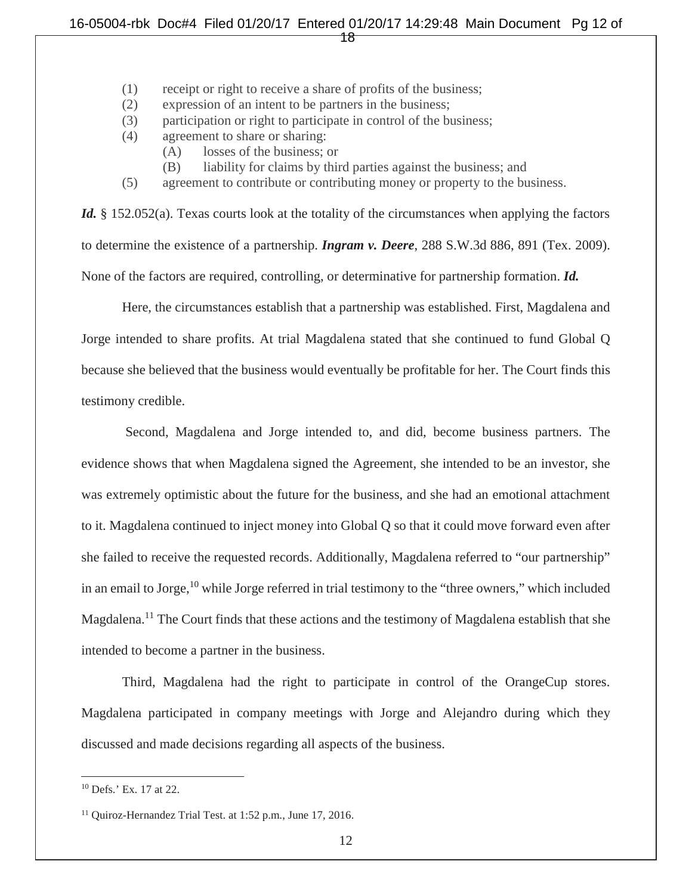#### 16-05004-rbk Doc#4 Filed 01/20/17 Entered 01/20/17 14:29:48 Main Document Pg 12 of 18

- (1) receipt or right to receive a share of profits of the business;
- (2) expression of an intent to be partners in the business;
- (3) participation or right to participate in control of the business;
- (4) agreement to share or sharing:
	- (A) losses of the business; or
	- (B) liability for claims by third parties against the business; and
- (5) agreement to contribute or contributing money or property to the business.

*Id.* § 152.052(a). Texas courts look at the totality of the circumstances when applying the factors to determine the existence of a partnership. *Ingram v. Deere*, 288 S.W.3d 886, 891 (Tex. 2009). None of the factors are required, controlling, or determinative for partnership formation. *Id.* 

 Here, the circumstances establish that a partnership was established. First, Magdalena and Jorge intended to share profits. At trial Magdalena stated that she continued to fund Global Q because she believed that the business would eventually be profitable for her. The Court finds this testimony credible.

 Second, Magdalena and Jorge intended to, and did, become business partners. The evidence shows that when Magdalena signed the Agreement, she intended to be an investor, she was extremely optimistic about the future for the business, and she had an emotional attachment to it. Magdalena continued to inject money into Global Q so that it could move forward even after she failed to receive the requested records. Additionally, Magdalena referred to "our partnership" in an email to Jorge, $10$  while Jorge referred in trial testimony to the "three owners," which included Magdalena.11 The Court finds that these actions and the testimony of Magdalena establish that she intended to become a partner in the business.

Third, Magdalena had the right to participate in control of the OrangeCup stores. Magdalena participated in company meetings with Jorge and Alejandro during which they discussed and made decisions regarding all aspects of the business.

<sup>10</sup> Defs.' Ex. 17 at 22.

<sup>&</sup>lt;sup>11</sup> Quiroz-Hernandez Trial Test. at 1:52 p.m., June 17, 2016.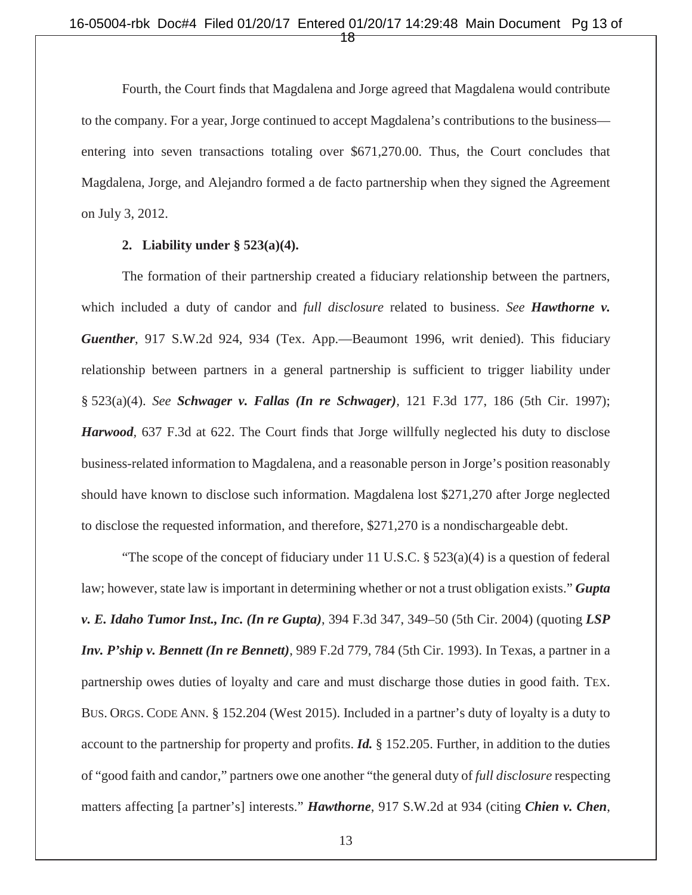Fourth, the Court finds that Magdalena and Jorge agreed that Magdalena would contribute to the company. For a year, Jorge continued to accept Magdalena's contributions to the business entering into seven transactions totaling over \$671,270.00. Thus, the Court concludes that Magdalena, Jorge, and Alejandro formed a de facto partnership when they signed the Agreement on July 3, 2012.

#### **2. Liability under § 523(a)(4).**

The formation of their partnership created a fiduciary relationship between the partners, which included a duty of candor and *full disclosure* related to business. *See Hawthorne v. Guenther*, 917 S.W.2d 924, 934 (Tex. App.—Beaumont 1996, writ denied). This fiduciary relationship between partners in a general partnership is sufficient to trigger liability under § 523(a)(4). *See Schwager v. Fallas (In re Schwager),* 121 F.3d 177, 186 (5th Cir. 1997); *Harwood,* 637 F.3d at 622. The Court finds that Jorge willfully neglected his duty to disclose business-related information to Magdalena, and a reasonable person in Jorge's position reasonably should have known to disclose such information. Magdalena lost \$271,270 after Jorge neglected to disclose the requested information, and therefore, \$271,270 is a nondischargeable debt.

"The scope of the concept of fiduciary under 11 U.S.C.  $\S$  523(a)(4) is a question of federal law; however, state law is important in determining whether or not a trust obligation exists." *Gupta v. E. Idaho Tumor Inst., Inc. (In re Gupta)*, 394 F.3d 347, 349–50 (5th Cir. 2004) (quoting *LSP Inv. P'ship v. Bennett (In re Bennett)*, 989 F.2d 779, 784 (5th Cir. 1993). In Texas, a partner in a partnership owes duties of loyalty and care and must discharge those duties in good faith. TEX. BUS. ORGS. CODE ANN. § 152.204 (West 2015). Included in a partner's duty of loyalty is a duty to account to the partnership for property and profits. *Id.* § 152.205. Further, in addition to the duties of "good faith and candor," partners owe one another "the general duty of *full disclosure* respecting matters affecting [a partner's] interests." *Hawthorne*, 917 S.W.2d at 934 (citing *Chien v. Chen*,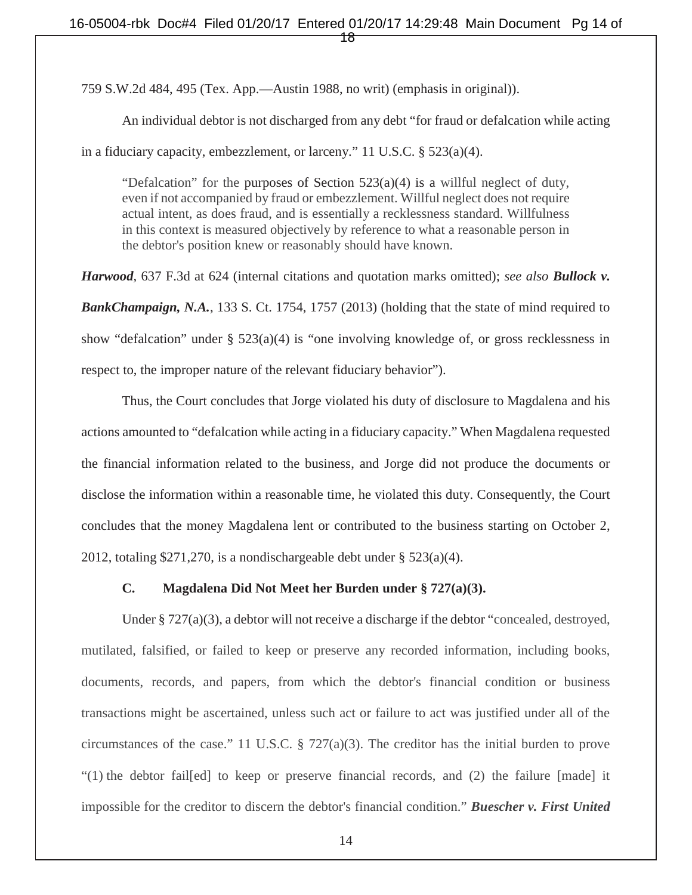759 S.W.2d 484, 495 (Tex. App.—Austin 1988, no writ) (emphasis in original)).

An individual debtor is not discharged from any debt "for fraud or defalcation while acting

in a fiduciary capacity, embezzlement, or larceny." 11 U.S.C. § 523(a)(4).

"Defalcation" for the purposes of Section  $523(a)(4)$  is a willful neglect of duty, even if not accompanied by fraud or embezzlement. Willful neglect does not require actual intent, as does fraud, and is essentially a recklessness standard. Willfulness in this context is measured objectively by reference to what a reasonable person in the debtor's position knew or reasonably should have known.

*Harwood,* 637 F.3d at 624 (internal citations and quotation marks omitted); *see also Bullock v. BankChampaign, N.A.*, 133 S. Ct. 1754, 1757 (2013) (holding that the state of mind required to show "defalcation" under § 523(a)(4) is "one involving knowledge of, or gross recklessness in respect to, the improper nature of the relevant fiduciary behavior").

Thus, the Court concludes that Jorge violated his duty of disclosure to Magdalena and his actions amounted to "defalcation while acting in a fiduciary capacity." When Magdalena requested the financial information related to the business, and Jorge did not produce the documents or disclose the information within a reasonable time, he violated this duty. Consequently, the Court concludes that the money Magdalena lent or contributed to the business starting on October 2, 2012, totaling \$271,270, is a nondischargeable debt under § 523(a)(4).

#### **C. Magdalena Did Not Meet her Burden under § 727(a)(3).**

Under § 727(a)(3), a debtor will not receive a discharge if the debtor "concealed, destroyed, mutilated, falsified, or failed to keep or preserve any recorded information, including books, documents, records, and papers, from which the debtor's financial condition or business transactions might be ascertained, unless such act or failure to act was justified under all of the circumstances of the case." 11 U.S.C. § 727(a)(3). The creditor has the initial burden to prove "(1) the debtor fail[ed] to keep or preserve financial records, and (2) the failure [made] it impossible for the creditor to discern the debtor's financial condition." *Buescher v. First United*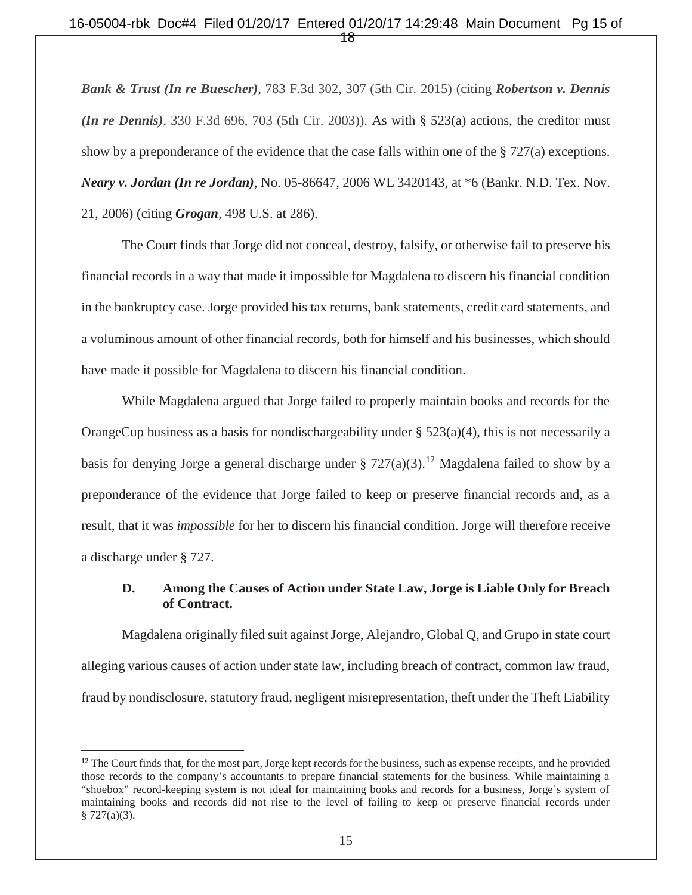#### 16-05004-rbk Doc#4 Filed 01/20/17 Entered 01/20/17 14:29:48 Main Document Pg 15 of ተສ $\overline{\mathbf{f}}$

*Bank & Trust (In re Buescher)*, 783 F.3d 302, 307 (5th Cir. 2015) (citing *Robertson v. Dennis (In re Dennis)*, 330 F.3d 696, 703 (5th Cir. 2003)). As with § 523(a) actions, the creditor must show by a preponderance of the evidence that the case falls within one of the  $\S 727(a)$  exceptions. *Neary v. Jordan (In re Jordan),* No. 05-86647, 2006 WL 3420143, at \*6 (Bankr. N.D. Tex. Nov. 21, 2006) (citing *Grogan,* 498 U.S. at 286).

The Court finds that Jorge did not conceal, destroy, falsify, or otherwise fail to preserve his financial records in a way that made it impossible for Magdalena to discern his financial condition in the bankruptcy case. Jorge provided his tax returns, bank statements, credit card statements, and a voluminous amount of other financial records, both for himself and his businesses, which should have made it possible for Magdalena to discern his financial condition.

While Magdalena argued that Jorge failed to properly maintain books and records for the OrangeCup business as a basis for nondischargeability under § 523(a)(4), this is not necessarily a basis for denying Jorge a general discharge under § 727(a)(3).<sup>12</sup> Magdalena failed to show by a preponderance of the evidence that Jorge failed to keep or preserve financial records and, as a result, that it was *impossible* for her to discern his financial condition. Jorge will therefore receive a discharge under § 727.

# **D. Among the Causes of Action under State Law, Jorge is Liable Only for Breach of Contract.**

 Magdalena originally filed suit against Jorge, Alejandro, Global Q, and Grupo in state court alleging various causes of action under state law, including breach of contract, common law fraud, fraud by nondisclosure, statutory fraud, negligent misrepresentation, theft under the Theft Liability

<sup>&</sup>lt;sup>12</sup> The Court finds that, for the most part, Jorge kept records for the business, such as expense receipts, and he provided those records to the company's accountants to prepare financial statements for the business. While maintaining a "shoebox" record-keeping system is not ideal for maintaining books and records for a business, Jorge's system of maintaining books and records did not rise to the level of failing to keep or preserve financial records under  $§ 727(a)(3).$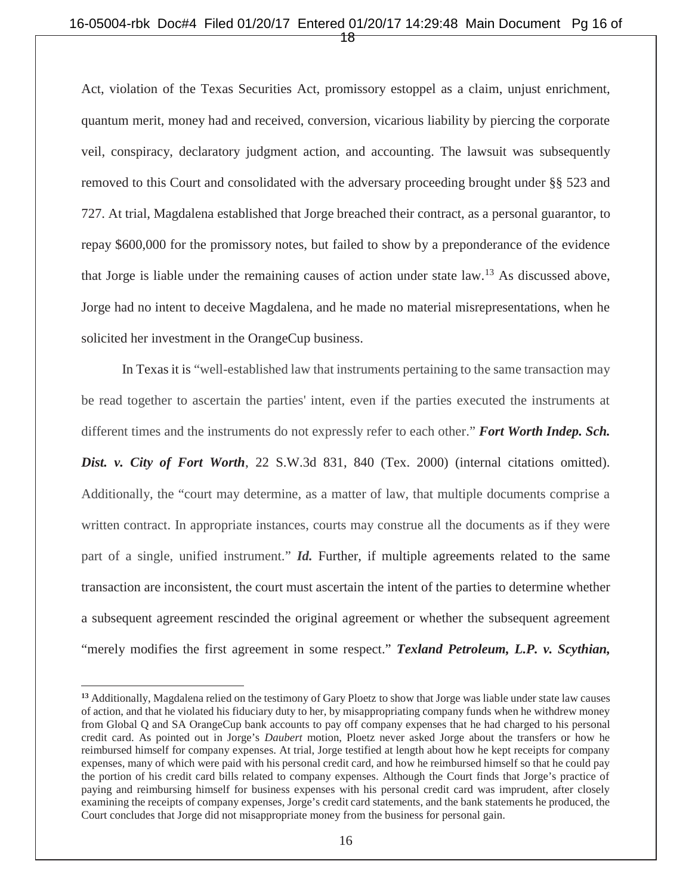#### 16-05004-rbk Doc#4 Filed 01/20/17 Entered 01/20/17 14:29:48 Main Document Pg 16 of 18

Act, violation of the Texas Securities Act, promissory estoppel as a claim, unjust enrichment, quantum merit, money had and received, conversion, vicarious liability by piercing the corporate veil, conspiracy, declaratory judgment action, and accounting. The lawsuit was subsequently removed to this Court and consolidated with the adversary proceeding brought under §§ 523 and 727. At trial, Magdalena established that Jorge breached their contract, as a personal guarantor, to repay \$600,000 for the promissory notes, but failed to show by a preponderance of the evidence that Jorge is liable under the remaining causes of action under state  $law$ <sup>13</sup>. As discussed above, Jorge had no intent to deceive Magdalena, and he made no material misrepresentations, when he solicited her investment in the OrangeCup business.

In Texas it is "well-established law that instruments pertaining to the same transaction may be read together to ascertain the parties' intent, even if the parties executed the instruments at different times and the instruments do not expressly refer to each other." *Fort Worth Indep. Sch. Dist. v. City of Fort Worth*, 22 S.W.3d 831, 840 (Tex. 2000) (internal citations omitted). Additionally, the "court may determine, as a matter of law, that multiple documents comprise a written contract. In appropriate instances, courts may construe all the documents as if they were part of a single, unified instrument." *Id.* Further, if multiple agreements related to the same transaction are inconsistent, the court must ascertain the intent of the parties to determine whether a subsequent agreement rescinded the original agreement or whether the subsequent agreement "merely modifies the first agreement in some respect." *Texland Petroleum, L.P. v. Scythian,* 

**<sup>13</sup>** Additionally, Magdalena relied on the testimony of Gary Ploetz to show that Jorge was liable under state law causes of action, and that he violated his fiduciary duty to her, by misappropriating company funds when he withdrew money from Global Q and SA OrangeCup bank accounts to pay off company expenses that he had charged to his personal credit card. As pointed out in Jorge's *Daubert* motion, Ploetz never asked Jorge about the transfers or how he reimbursed himself for company expenses. At trial, Jorge testified at length about how he kept receipts for company expenses, many of which were paid with his personal credit card, and how he reimbursed himself so that he could pay the portion of his credit card bills related to company expenses. Although the Court finds that Jorge's practice of paying and reimbursing himself for business expenses with his personal credit card was imprudent, after closely examining the receipts of company expenses, Jorge's credit card statements, and the bank statements he produced, the Court concludes that Jorge did not misappropriate money from the business for personal gain.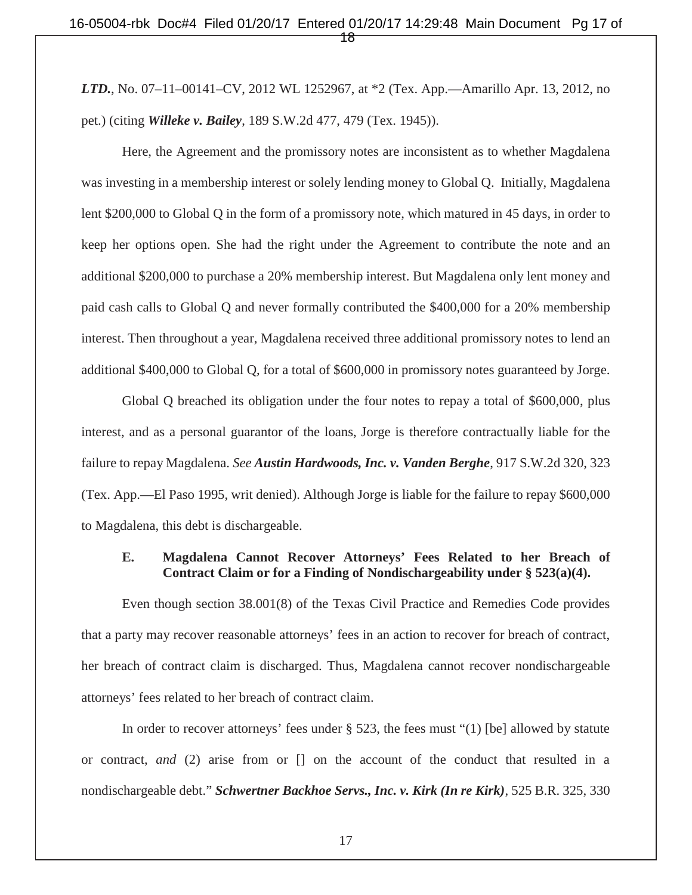*LTD.*, No. 07–11–00141–CV, 2012 WL 1252967, at \*2 (Tex. App.—Amarillo Apr. 13, 2012, no pet.) (citing *Willeke v. Bailey*, 189 S.W.2d 477, 479 (Tex. 1945)).

Here, the Agreement and the promissory notes are inconsistent as to whether Magdalena was investing in a membership interest or solely lending money to Global Q. Initially, Magdalena lent \$200,000 to Global Q in the form of a promissory note, which matured in 45 days, in order to keep her options open. She had the right under the Agreement to contribute the note and an additional \$200,000 to purchase a 20% membership interest. But Magdalena only lent money and paid cash calls to Global Q and never formally contributed the \$400,000 for a 20% membership interest. Then throughout a year, Magdalena received three additional promissory notes to lend an additional \$400,000 to Global Q, for a total of \$600,000 in promissory notes guaranteed by Jorge.

Global Q breached its obligation under the four notes to repay a total of \$600,000, plus interest, and as a personal guarantor of the loans, Jorge is therefore contractually liable for the failure to repay Magdalena. *See Austin Hardwoods, Inc. v. Vanden Berghe*, 917 S.W.2d 320, 323 (Tex. App.—El Paso 1995, writ denied). Although Jorge is liable for the failure to repay \$600,000 to Magdalena, this debt is dischargeable.

#### **E. Magdalena Cannot Recover Attorneys' Fees Related to her Breach of Contract Claim or for a Finding of Nondischargeability under § 523(a)(4).**

Even though section 38.001(8) of the Texas Civil Practice and Remedies Code provides that a party may recover reasonable attorneys' fees in an action to recover for breach of contract, her breach of contract claim is discharged. Thus, Magdalena cannot recover nondischargeable attorneys' fees related to her breach of contract claim.

In order to recover attorneys' fees under § 523, the fees must "(1) [be] allowed by statute or contract, *and* (2) arise from or [] on the account of the conduct that resulted in a nondischargeable debt." *Schwertner Backhoe Servs., Inc. v. Kirk (In re Kirk)*, 525 B.R. 325, 330